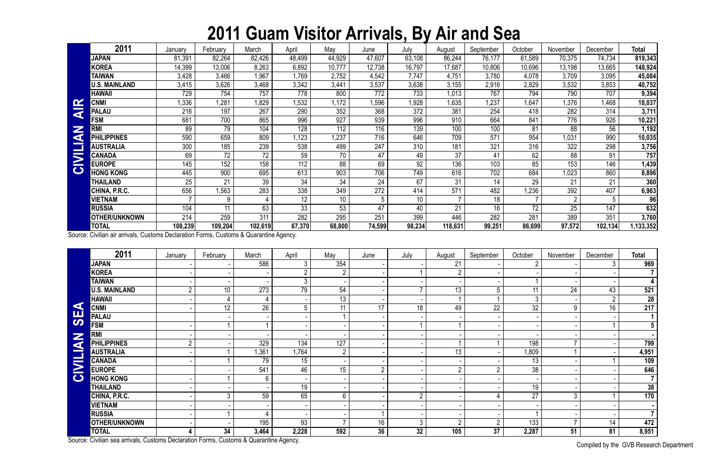## **2011 Guam Visitor Arrivals, By Air and Sea**

Compiled by the GVB Research Department

|                       | 2011                 | January                  | February | March   | April            | May             | June   | July   | August  | September | October | November       | December | <b>Total</b> |
|-----------------------|----------------------|--------------------------|----------|---------|------------------|-----------------|--------|--------|---------|-----------|---------|----------------|----------|--------------|
|                       | <b>JAPAN</b>         | 81,391                   | 82,264   | 82,426  | 48,499           | 44,929          | 47,607 | 63,108 | 86,244  | 76,177    | 61,589  | 70,375         | 74,734   | 819,343      |
|                       | <b>KOREA</b>         | 14,399                   | 13,006   | 8,263   | 6,892            | 10,777          | 12,738 | 16,797 | 17,687  | 10,806    | 10,696  | 13,198         | 13,665   | 148,924      |
|                       | <b>TAIWAN</b>        | 3,428                    | 3,466    | 1,967   | 1,769            | 2,752           | 4,542  | 7,747  | 4,751   | 3,780     | 4,078   | 3,709          | 3,095    | 45,084       |
|                       | <b>U.S. MAINLAND</b> | 3,415                    | 3,626    | 3,468   | 3,342            | 3,441           | 3,537  | 3,638  | 3,155   | 2,916     | 2,829   | 3,532          | 3,853    | 40,752       |
|                       | <b>HAWAII</b>        | 729                      | 754      | 757     | 778              | 800             | 772    | 733    | 1,013   | 767       | 794     | 790            | 707      | 9,394        |
|                       | <b>CNMI</b>          | 1,336                    | 1,281    | 1,829   | 1,532            | 1,172           | .596   | 1,928  | 1,635   | 1,237     | ,647    | 1,376          | 1,468    | 18,037       |
| G                     | <b>PALAU</b>         | 216                      | 197      | 267     | 290              | 352             | 368    | 372    | 381     | 254       | 418     | 282            | 314      | 3,711        |
|                       | <b>FSM</b>           | 681                      | 700      | 865     | 996              | 927             | 939    | 996    | 910     | 664       | 841     | 776            | 926      | 10,221       |
| Z<br>G                | <b>RMI</b>           | 89                       | 79       | 104     | 128              | 112             | 116    | 139    | 100     | 100       | 81      | 88             | 56       | 1,192        |
|                       | <b>PHILIPPINES</b>   | 590                      | 659      | 809     | .123             | 1,237           | 716    | 646    | 709     | 571       | 954     | 1,031          | 990      | 10,035       |
|                       | <b>AUSTRALIA</b>     | 300                      | 185      | 239     | 538              | 499             | 247    | 310    | 181     | 321       | 316     | 322            | 298      | 3,756        |
| $\blacktriangleright$ | <b>CANADA</b>        | 69                       | 72       | 72      | 59               | 70              | 47     | 49     | 37      | 41        | 62      | 88             | 91       | 757          |
|                       | <b>EUROPE</b>        | 145                      | 152      | 158     | 112              | 88              | 69     | 92     | 136     | 103       | 85      | 153            | 146      | 1,439        |
| $\mathbf C$           | <b>HONG KONG</b>     | 445                      | 900      | 695     | 613              | 903             | 706    | 749    | 616     | 702       | 684     | 1,023          | 860      | 8,896        |
|                       | THAILAND             | 25                       | 21       | 39      | 34               | 34              | 24     | 67     | 31      | 14        | 29      | 21             | 21       | 360          |
|                       | CHINA, P.R.C.        | 656                      | 1,563    | 283     | 338              | 349             | 272    | 414    | 571     | 482       | .236    | 392            | 407      | 6,963        |
|                       | <b>VIETNAM</b>       | $\overline{\phantom{a}}$ | 9        |         | 12               | 10 <sup>1</sup> |        | 10     |         | 18        |         | $\overline{2}$ | b        | 96           |
|                       | <b>RUSSIA</b>        | 104                      | 11       | 63      | 33               | 53              | 47     | 40     | 21      | 16        | 72      | 25             | 147      | 632          |
|                       | <b>OTHER/UNKNOWN</b> | 214                      | 259      | 311     | $\overline{282}$ | 295             | 251    | 399    | 446     | 282       | 281     | 389            | 351      | 3,760        |
|                       | <b>TOTAL</b>         | 108,239                  | 109,204  | 102,619 | 67,370           | 68,800          | 74,599 | 98,234 | 118,631 | 99,251    | 86,699  | 97,572         | 102,134  | 1,133,352    |

|                       | <b>CNMI</b>                                                                            | 1,336          | 1,281           | 1,829            | 1,532           | 1,172           | 1,596            | 1,928  | 1,635          | 1,237           | 1,647           | 1,376           | 1,468          | 18,037         |
|-----------------------|----------------------------------------------------------------------------------------|----------------|-----------------|------------------|-----------------|-----------------|------------------|--------|----------------|-----------------|-----------------|-----------------|----------------|----------------|
| <b>AIR</b>            | <b>PALAU</b>                                                                           | 216            | 197             | 267              | 290             | 352             | 368              | 372    | 381            | 254             | 418             | 282             | 314            | 3,711          |
|                       | <b>FSM</b>                                                                             | 681            | 700             | 865              | 996             | 927             | 939              | 996    | 910            | 664             | 841             | 776             | 926            | 10,221         |
| Z                     | <b>RMI</b>                                                                             | 89             | 79              | 104              | 128             | 112             | 116              | 139    | 100            | 100             | 81              | 88              | 56             | 1,192          |
|                       | <b>PHILIPPINES</b>                                                                     | 590            | 659             | 809              | 1,123           | 1,237           | 716              | 646    | 709            | 571             | 954             | 1,031           | 990            | 10,035         |
| CIVILIA               | <b>AUSTRALIA</b>                                                                       | 300            | 185             | 239              | 538             | 499             | 247              | 310    | 181            | 321             | 316             | 322             | 298            | 3,756          |
|                       | <b>CANADA</b>                                                                          | 69             | $\overline{72}$ | $\overline{72}$  | 59              | 70              | 47               | 49     | 37             | 41              | 62              | 88              | 91             | 757            |
|                       | <b>EUROPE</b>                                                                          | 145            | 152             | 158              | 112             | 88              | 69               | 92     | 136            | 103             | 85              | 153             | 146            | 1,439          |
|                       | <b>HONG KONG</b>                                                                       | 445            | 900             | 695              | 613             | 903             | 706              | 749    | 616            | 702             | 684             | 1,023           | 860            | 8,896          |
|                       | <b>THAILAND</b>                                                                        | 25             | 21              | 39               | $\overline{34}$ | $\overline{34}$ | $\overline{24}$  | 67     | 31             | 14              | $\overline{29}$ | 21              | 21             | 360            |
|                       | CHINA, P.R.C.                                                                          | 656            | 1,563           | 283              | 338             | 349             | 272              | 414    | 571            | 482             | 1,236           | 392             | 407            | 6,963          |
|                       | <b>VIETNAM</b>                                                                         |                | 9               | 4                | 12              | 10              | 5                | 10     |                | 18              |                 | $\overline{2}$  | 5              | 96             |
|                       | <b>RUSSIA</b>                                                                          | 104            | $\overline{11}$ | 63               | $\overline{33}$ | $\overline{53}$ | 47               | 40     | 21             | $\overline{16}$ | $\overline{72}$ | $\overline{25}$ | 147            | 632            |
|                       | <b>OTHER/UNKNOWN</b>                                                                   | 214            | 259             | $\overline{311}$ | 282             | 295             | $\overline{251}$ | 399    | 446            | 282             | 281             | 389             | 351            | 3,760          |
|                       | <b>TOTAL</b>                                                                           | 108,239        | 109,204         | 102,619          | 67,370          | 68,800          | 74,599           | 98,234 | 118,631        | 99,251          | 86,699          | 97,572          | 102,134        | 1,133,352      |
|                       | Source: Civilian air arrivals, Customs Declaration Forms, Customs & Quarantine Agency. |                |                 |                  |                 |                 |                  |        |                |                 |                 |                 |                |                |
|                       | 2011                                                                                   | January        | February        | March            | April           | May             | June             | July   | August         | September       | October         | November        | December       | <b>Total</b>   |
|                       | <b>JAPAN</b>                                                                           |                |                 | 586              | 3               | 354             |                  |        | 21             |                 | $\overline{2}$  |                 | 3              | 969            |
|                       | <b>KOREA</b>                                                                           |                |                 |                  | $\overline{2}$  | $\overline{2}$  |                  |        | $\overline{2}$ |                 |                 |                 |                | $\overline{7}$ |
|                       | <b>TAIWAN</b>                                                                          |                |                 |                  | $\mathfrak{Z}$  |                 |                  |        |                |                 |                 |                 |                | $\vert$        |
|                       | <b>U.S. MAINLAND</b>                                                                   | $\overline{2}$ | 10 <sup>°</sup> | $\overline{273}$ | $\overline{79}$ | 54              |                  | 7      | 13             | 5               | $\overline{11}$ | 24              | 43             | 521            |
|                       | <b>HAWAII</b>                                                                          |                | 4               | $\overline{4}$   |                 | $\overline{13}$ |                  |        |                |                 | $\overline{3}$  |                 | $\overline{2}$ | 28             |
| $\blacktriangleleft$  | <b>CNMI</b>                                                                            |                | 12              | 26               | 5               | 11              | 17               | 18     | 49             | 22              | $\overline{32}$ | 9               | 16             | 217            |
| <b>SE</b>             | <b>PALAU</b>                                                                           |                |                 |                  |                 |                 |                  |        |                |                 |                 |                 |                | 1 <sup>1</sup> |
|                       | <b>FSM</b>                                                                             |                |                 |                  |                 |                 |                  |        |                |                 |                 |                 |                | $\overline{5}$ |
|                       | <b>RMI</b>                                                                             |                |                 |                  |                 |                 |                  |        |                |                 |                 |                 |                |                |
| <b>NAI.</b>           | <b>PHILIPPINES</b>                                                                     | $\overline{2}$ |                 | 329              | 134             | 127             |                  |        |                |                 | 198             | $\overline{7}$  |                | 799            |
|                       | <b>AUSTRALIA</b>                                                                       |                |                 | ,361             | 1,764           | $\overline{2}$  |                  |        | 13             |                 | 1,809           |                 |                | 4,951          |
| E.                    | <b>CANADA</b>                                                                          |                |                 | 79               | 15              |                 |                  |        |                |                 | $\overline{13}$ |                 |                | 109            |
| $\blacktriangleright$ | <b>EUROPE</b>                                                                          |                |                 | 541              | 46              | 15              | $2^{\circ}$      |        | $\overline{2}$ | $\overline{2}$  | 38              |                 |                | 646            |
| $\bullet$             | <b>HONG KONG</b>                                                                       |                |                 | 6                |                 |                 |                  |        |                |                 |                 |                 |                | $\overline{7}$ |
|                       | <b>THAILAND</b>                                                                        |                |                 |                  | 19              |                 |                  |        |                |                 | 19              |                 |                | 38             |
|                       | CHINA, P.R.C.                                                                          |                | 3               | 59               | 65              | $6\phantom{.}$  |                  | റ      |                | 4               | 27              | 3 <sup>1</sup>  |                | 170            |
|                       | <b>VIETNAM</b>                                                                         |                |                 |                  |                 |                 |                  |        |                |                 |                 |                 |                | $\blacksquare$ |
|                       | <b>RUSSIA</b>                                                                          |                |                 |                  |                 |                 |                  |        |                |                 |                 |                 |                | 7 <sup>1</sup> |
|                       | <b>OTHER/UNKNOWN</b>                                                                   |                |                 | 195              | 93              |                 | 16               | 3      | $\overline{2}$ | $\overline{2}$  | 133             | $\overline{7}$  | 14             | 472            |
|                       | <b>TOTAL</b>                                                                           |                | 34              | 3,464            | 2,228           | 592             | 36               | 32     | 105            | $\overline{37}$ | 2,287           | 51              | 81             | 8,951          |
|                       | Source: Civilian sea arrivals, Customs Declaration Forms, Customs & Quarantine Agency. |                |                 |                  |                 |                 |                  |        |                |                 |                 |                 |                |                |